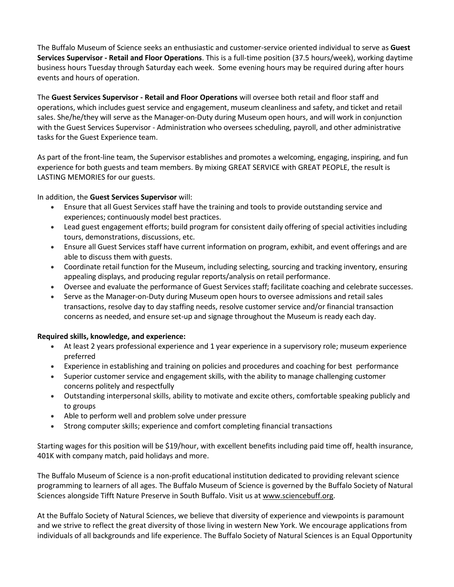The Buffalo Museum of Science seeks an enthusiastic and customer-service oriented individual to serve as **Guest Services Supervisor - Retail and Floor Operations**. This is a full-time position (37.5 hours/week), working daytime business hours Tuesday through Saturday each week. Some evening hours may be required during after hours events and hours of operation.

The **Guest Services Supervisor - Retail and Floor Operations** will oversee both retail and floor staff and operations, which includes guest service and engagement, museum cleanliness and safety, and ticket and retail sales. She/he/they will serve as the Manager-on-Duty during Museum open hours, and will work in conjunction with the Guest Services Supervisor - Administration who oversees scheduling, payroll, and other administrative tasks for the Guest Experience team.

As part of the front-line team, the Supervisor establishes and promotes a welcoming, engaging, inspiring, and fun experience for both guests and team members. By mixing GREAT SERVICE with GREAT PEOPLE, the result is LASTING MEMORIES for our guests.

## In addition, the **Guest Services Supervisor** will:

- Ensure that all Guest Services staff have the training and tools to provide outstanding service and experiences; continuously model best practices.
- Lead guest engagement efforts; build program for consistent daily offering of special activities including tours, demonstrations, discussions, etc.
- Ensure all Guest Services staff have current information on program, exhibit, and event offerings and are able to discuss them with guests.
- Coordinate retail function for the Museum, including selecting, sourcing and tracking inventory, ensuring appealing displays, and producing regular reports/analysis on retail performance.
- Oversee and evaluate the performance of Guest Services staff; facilitate coaching and celebrate successes.
- Serve as the Manager-on-Duty during Museum open hours to oversee admissions and retail sales transactions, resolve day to day staffing needs, resolve customer service and/or financial transaction concerns as needed, and ensure set-up and signage throughout the Museum is ready each day.

## **Required skills, knowledge, and experience:**

- At least 2 years professional experience and 1 year experience in a supervisory role; museum experience preferred
- Experience in establishing and training on policies and procedures and coaching for best performance
- Superior customer service and engagement skills, with the ability to manage challenging customer concerns politely and respectfully
- Outstanding interpersonal skills, ability to motivate and excite others, comfortable speaking publicly and to groups
- Able to perform well and problem solve under pressure
- Strong computer skills; experience and comfort completing financial transactions

Starting wages for this position will be \$19/hour, with excellent benefits including paid time off, health insurance, 401K with company match, paid holidays and more.

The Buffalo Museum of Science is a non-profit educational institution dedicated to providing relevant science programming to learners of all ages. The Buffalo Museum of Science is governed by the Buffalo Society of Natural Sciences alongside Tifft Nature Preserve in South Buffalo. Visit us at [www.sciencebuff.org.](http://www.sciencebuff.org/)

At the Buffalo Society of Natural Sciences, we believe that diversity of experience and viewpoints is paramount and we strive to reflect the great diversity of those living in western New York. We encourage applications from individuals of all backgrounds and life experience. The Buffalo Society of Natural Sciences is an Equal Opportunity